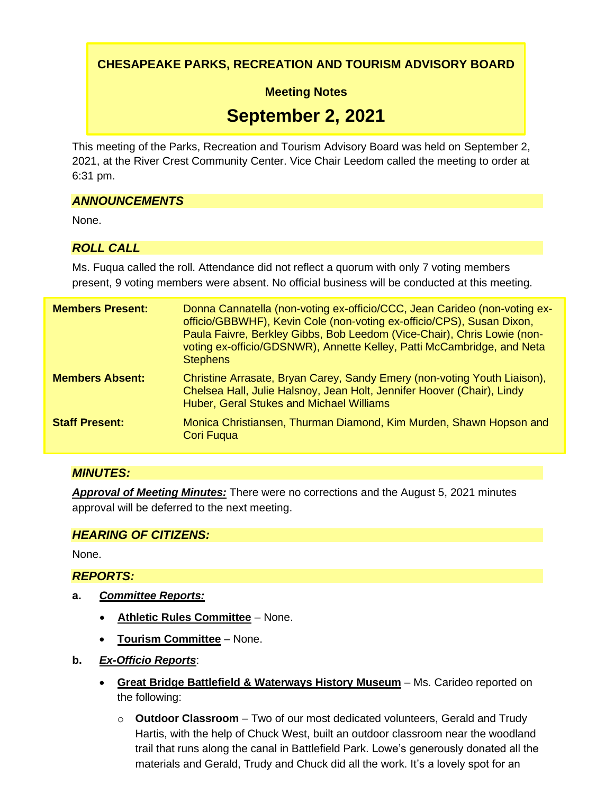**CHESAPEAKE PARKS, RECREATION AND TOURISM ADVISORY BOARD**

**Meeting Notes**

# **September 2, 2021**

This meeting of the Parks, Recreation and Tourism Advisory Board was held on September 2, 2021, at the River Crest Community Center. Vice Chair Leedom called the meeting to order at 6:31 pm.

# *ANNOUNCEMENTS*

None.

# *ROLL CALL*

Ms. Fuqua called the roll. Attendance did not reflect a quorum with only 7 voting members present, 9 voting members were absent. No official business will be conducted at this meeting.

| <b>Members Present:</b> | Donna Cannatella (non-voting ex-officio/CCC, Jean Carideo (non-voting ex-<br>officio/GBBWHF), Kevin Cole (non-voting ex-officio/CPS), Susan Dixon,<br>Paula Faivre, Berkley Gibbs, Bob Leedom (Vice-Chair), Chris Lowie (non-<br>voting ex-officio/GDSNWR), Annette Kelley, Patti McCambridge, and Neta<br><b>Stephens</b> |
|-------------------------|----------------------------------------------------------------------------------------------------------------------------------------------------------------------------------------------------------------------------------------------------------------------------------------------------------------------------|
| <b>Members Absent:</b>  | Christine Arrasate, Bryan Carey, Sandy Emery (non-voting Youth Liaison),<br>Chelsea Hall, Julie Halsnoy, Jean Holt, Jennifer Hoover (Chair), Lindy<br>Huber, Geral Stukes and Michael Williams                                                                                                                             |
| <b>Staff Present:</b>   | Monica Christiansen, Thurman Diamond, Kim Murden, Shawn Hopson and<br><b>Cori Fugua</b>                                                                                                                                                                                                                                    |

## *MINUTES:*

*Approval of Meeting Minutes:* There were no corrections and the August 5, 2021 minutes approval will be deferred to the next meeting.

## *HEARING OF CITIZENS:*

None.

# *REPORTS:*

- **a.** *Committee Reports:*
	- **Athletic Rules Committee** None.
	- **Tourism Committee** None.
- **b.** *Ex-Officio Reports*:
	- **Great Bridge Battlefield & Waterways History Museum** Ms. Carideo reported on the following:
		- o **Outdoor Classroom**  Two of our most dedicated volunteers, Gerald and Trudy Hartis, with the help of Chuck West, built an outdoor classroom near the woodland trail that runs along the canal in Battlefield Park. Lowe's generously donated all the materials and Gerald, Trudy and Chuck did all the work. It's a lovely spot for an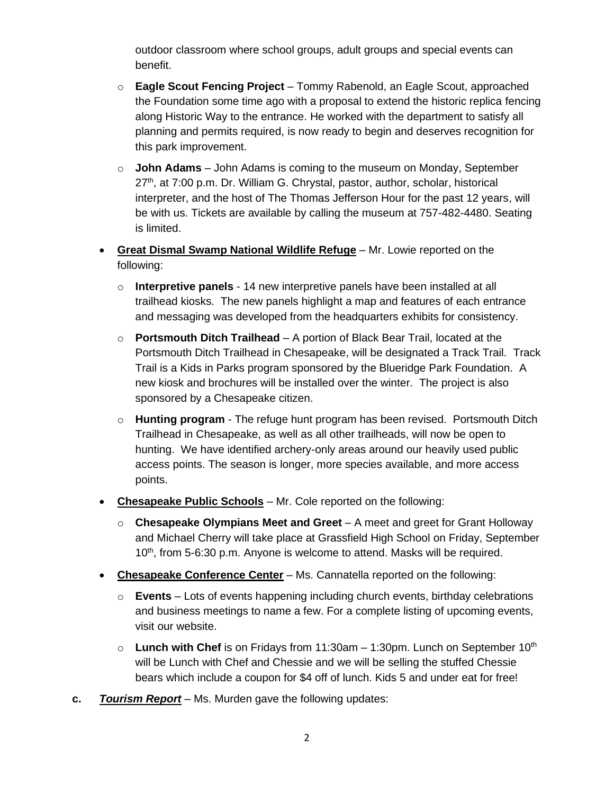outdoor classroom where school groups, adult groups and special events can benefit.

- o **Eagle Scout Fencing Project** Tommy Rabenold, an Eagle Scout, approached the Foundation some time ago with a proposal to extend the historic replica fencing along Historic Way to the entrance. He worked with the department to satisfy all planning and permits required, is now ready to begin and deserves recognition for this park improvement.
- o **John Adams** John Adams is coming to the museum on Monday, September  $27<sup>th</sup>$ , at 7:00 p.m. Dr. William G. Chrystal, pastor, author, scholar, historical interpreter, and the host of The Thomas Jefferson Hour for the past 12 years, will be with us. Tickets are available by calling the museum at 757-482-4480. Seating is limited.
- **Great Dismal Swamp National Wildlife Refuge** Mr. Lowie reported on the following:
	- o **Interpretive panels** 14 new interpretive panels have been installed at all trailhead kiosks. The new panels highlight a map and features of each entrance and messaging was developed from the headquarters exhibits for consistency.
	- o **Portsmouth Ditch Trailhead** A portion of Black Bear Trail, located at the Portsmouth Ditch Trailhead in Chesapeake, will be designated a Track Trail. Track Trail is a Kids in Parks program sponsored by the Blueridge Park Foundation. A new kiosk and brochures will be installed over the winter. The project is also sponsored by a Chesapeake citizen.
	- o **Hunting program** The refuge hunt program has been revised. Portsmouth Ditch Trailhead in Chesapeake, as well as all other trailheads, will now be open to hunting. We have identified archery-only areas around our heavily used public access points. The season is longer, more species available, and more access points.
- **Chesapeake Public Schools** Mr. Cole reported on the following:
	- o **Chesapeake Olympians Meet and Greet**  A meet and greet for Grant Holloway and Michael Cherry will take place at Grassfield High School on Friday, September 10<sup>th</sup>, from 5-6:30 p.m. Anyone is welcome to attend. Masks will be required.
- **Chesapeake Conference Center** Ms. Cannatella reported on the following:
	- o **Events** Lots of events happening including church events, birthday celebrations and business meetings to name a few. For a complete listing of upcoming events, visit our website.
	- $\circ$  **Lunch with Chef** is on Fridays from 11:30am 1:30pm. Lunch on September 10<sup>th</sup> will be Lunch with Chef and Chessie and we will be selling the stuffed Chessie bears which include a coupon for \$4 off of lunch. Kids 5 and under eat for free!
- **c.** *Tourism Report* Ms. Murden gave the following updates: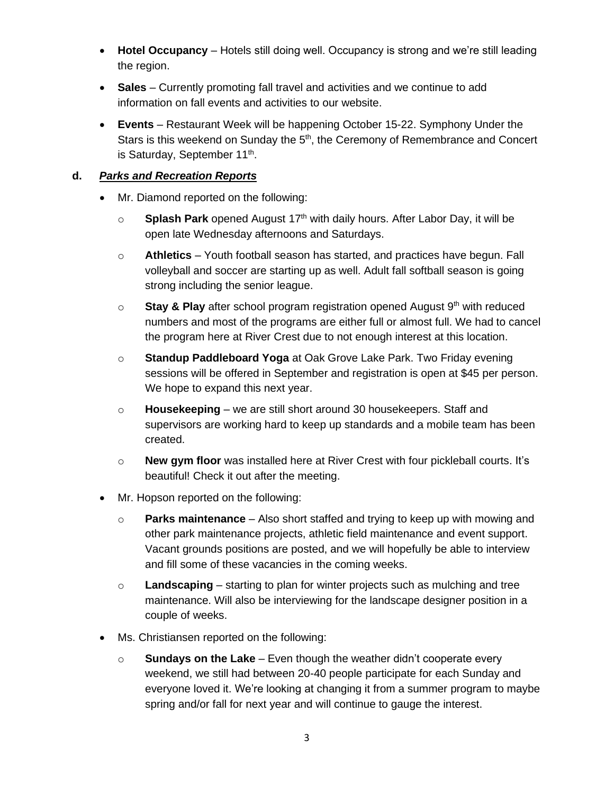- **Hotel Occupancy** Hotels still doing well. Occupancy is strong and we're still leading the region.
- **Sales** Currently promoting fall travel and activities and we continue to add information on fall events and activities to our website.
- **Events**  Restaurant Week will be happening October 15-22. Symphony Under the Stars is this weekend on Sunday the  $5<sup>th</sup>$ , the Ceremony of Remembrance and Concert is Saturday, September 11<sup>th</sup>.

## **d.** *Parks and Recreation Reports*

- Mr. Diamond reported on the following:
	- $\circ$  **Splash Park** opened August 17<sup>th</sup> with daily hours. After Labor Day, it will be open late Wednesday afternoons and Saturdays.
	- o **Athletics** Youth football season has started, and practices have begun. Fall volleyball and soccer are starting up as well. Adult fall softball season is going strong including the senior league.
	- o **Stay & Play** after school program registration opened August 9th with reduced numbers and most of the programs are either full or almost full. We had to cancel the program here at River Crest due to not enough interest at this location.
	- o **Standup Paddleboard Yoga** at Oak Grove Lake Park. Two Friday evening sessions will be offered in September and registration is open at \$45 per person. We hope to expand this next year.
	- o **Housekeeping** we are still short around 30 housekeepers. Staff and supervisors are working hard to keep up standards and a mobile team has been created.
	- o **New gym floor** was installed here at River Crest with four pickleball courts. It's beautiful! Check it out after the meeting.
- Mr. Hopson reported on the following:
	- o **Parks maintenance** Also short staffed and trying to keep up with mowing and other park maintenance projects, athletic field maintenance and event support. Vacant grounds positions are posted, and we will hopefully be able to interview and fill some of these vacancies in the coming weeks.
	- o **Landscaping** starting to plan for winter projects such as mulching and tree maintenance. Will also be interviewing for the landscape designer position in a couple of weeks.
- Ms. Christiansen reported on the following:
	- o **Sundays on the Lake** Even though the weather didn't cooperate every weekend, we still had between 20-40 people participate for each Sunday and everyone loved it. We're looking at changing it from a summer program to maybe spring and/or fall for next year and will continue to gauge the interest.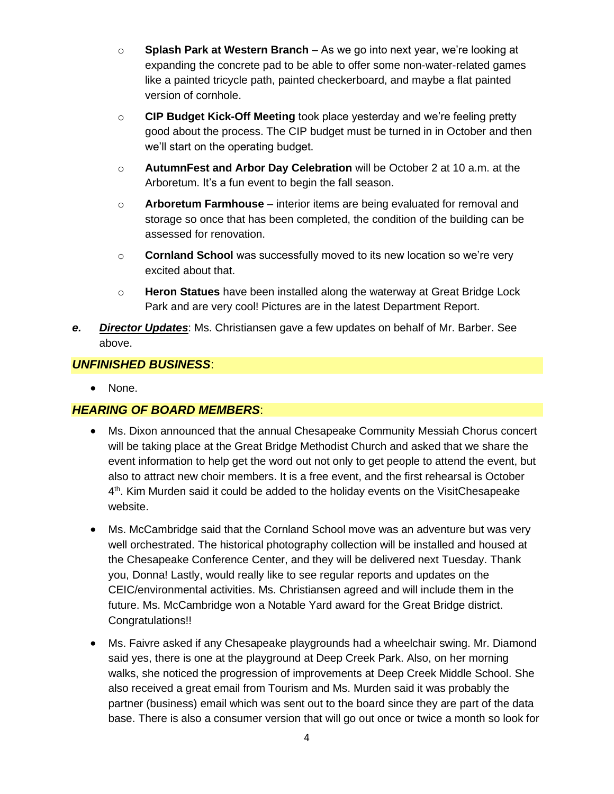- o **Splash Park at Western Branch** As we go into next year, we're looking at expanding the concrete pad to be able to offer some non-water-related games like a painted tricycle path, painted checkerboard, and maybe a flat painted version of cornhole.
- o **CIP Budget Kick-Off Meeting** took place yesterday and we're feeling pretty good about the process. The CIP budget must be turned in in October and then we'll start on the operating budget.
- o **AutumnFest and Arbor Day Celebration** will be October 2 at 10 a.m. at the Arboretum. It's a fun event to begin the fall season.
- o **Arboretum Farmhouse** interior items are being evaluated for removal and storage so once that has been completed, the condition of the building can be assessed for renovation.
- o **Cornland School** was successfully moved to its new location so we're very excited about that.
- o **Heron Statues** have been installed along the waterway at Great Bridge Lock Park and are very cool! Pictures are in the latest Department Report.
- *e. Director Updates*: Ms. Christiansen gave a few updates on behalf of Mr. Barber. See above.

## *UNFINISHED BUSINESS*:

• None.

## *HEARING OF BOARD MEMBERS*:

- Ms. Dixon announced that the annual Chesapeake Community Messiah Chorus concert will be taking place at the Great Bridge Methodist Church and asked that we share the event information to help get the word out not only to get people to attend the event, but also to attract new choir members. It is a free event, and the first rehearsal is October 4<sup>th</sup>. Kim Murden said it could be added to the holiday events on the VisitChesapeake website.
- Ms. McCambridge said that the Cornland School move was an adventure but was very well orchestrated. The historical photography collection will be installed and housed at the Chesapeake Conference Center, and they will be delivered next Tuesday. Thank you, Donna! Lastly, would really like to see regular reports and updates on the CEIC/environmental activities. Ms. Christiansen agreed and will include them in the future. Ms. McCambridge won a Notable Yard award for the Great Bridge district. Congratulations!!
- Ms. Faivre asked if any Chesapeake playgrounds had a wheelchair swing. Mr. Diamond said yes, there is one at the playground at Deep Creek Park. Also, on her morning walks, she noticed the progression of improvements at Deep Creek Middle School. She also received a great email from Tourism and Ms. Murden said it was probably the partner (business) email which was sent out to the board since they are part of the data base. There is also a consumer version that will go out once or twice a month so look for